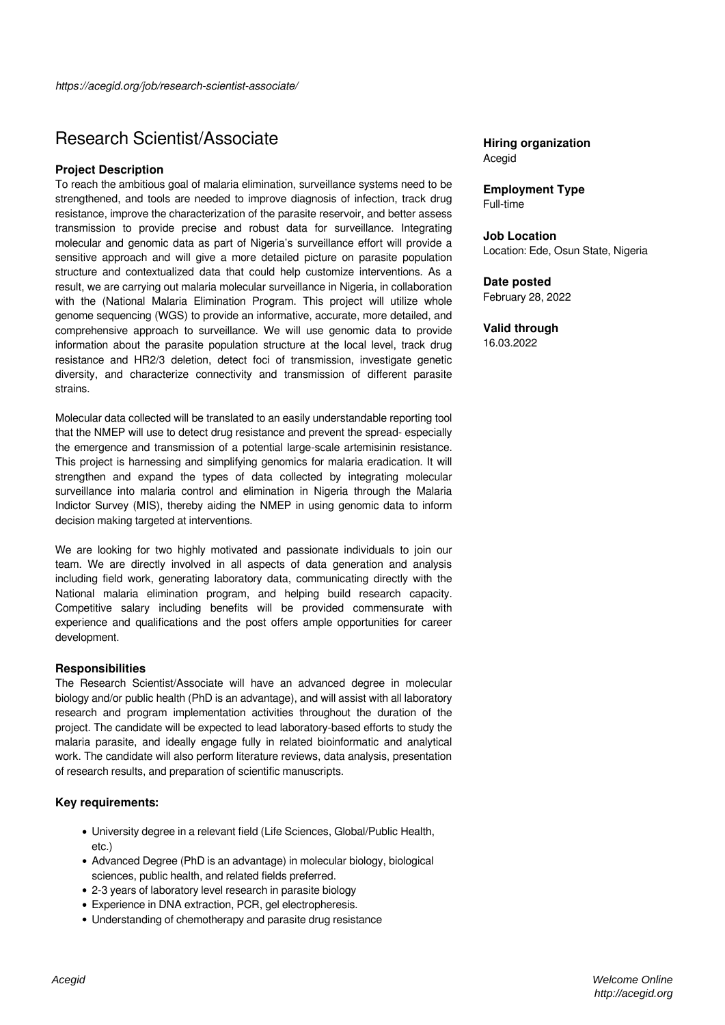# Research Scientist/Associate

#### **Project Description**

To reach the ambitious goal of malaria elimination, surveillance systems need to be strengthened, and tools are needed to improve diagnosis of infection, track drug resistance, improve the characterization of the parasite reservoir, and better assess transmission to provide precise and robust data for surveillance. Integrating molecular and genomic data as part of Nigeria's surveillance effort will provide a sensitive approach and will give a more detailed picture on parasite population structure and contextualized data that could help customize interventions. As a result, we are carrying out malaria molecular surveillance in Nigeria, in collaboration with the (National Malaria Elimination Program. This project will utilize whole genome sequencing (WGS) to provide an informative, accurate, more detailed, and comprehensive approach to surveillance. We will use genomic data to provide information about the parasite population structure at the local level, track drug resistance and HR2/3 deletion, detect foci of transmission, investigate genetic diversity, and characterize connectivity and transmission of different parasite strains.

Molecular data collected will be translated to an easily understandable reporting tool that the NMEP will use to detect drug resistance and prevent the spread- especially the emergence and transmission of a potential large-scale artemisinin resistance. This project is harnessing and simplifying genomics for malaria eradication. It will strengthen and expand the types of data collected by integrating molecular surveillance into malaria control and elimination in Nigeria through the Malaria Indictor Survey (MIS), thereby aiding the NMEP in using genomic data to inform decision making targeted at interventions.

We are looking for two highly motivated and passionate individuals to join our team. We are directly involved in all aspects of data generation and analysis including field work, generating laboratory data, communicating directly with the National malaria elimination program, and helping build research capacity. Competitive salary including benefits will be provided commensurate with experience and qualifications and the post offers ample opportunities for career development.

#### **Responsibilities**

The Research Scientist/Associate will have an advanced degree in molecular biology and/or public health (PhD is an advantage), and will assist with all laboratory research and program implementation activities throughout the duration of the project. The candidate will be expected to lead laboratory-based efforts to study the malaria parasite, and ideally engage fully in related bioinformatic and analytical work. The candidate will also perform literature reviews, data analysis, presentation of research results, and preparation of scientific manuscripts.

### **Key requirements:**

- University degree in a relevant field (Life Sciences, Global/Public Health, etc.)
- Advanced Degree (PhD is an advantage) in molecular biology, biological sciences, public health, and related fields preferred.
- 2-3 years of laboratory level research in parasite biology
- Experience in DNA extraction, PCR, gel electropheresis.
- Understanding of chemotherapy and parasite drug resistance

## **Hiring organization** Acegid

**Employment Type** Full-time

**Job Location** Location: Ede, Osun State, Nigeria

**Date posted** February 28, 2022

**Valid through** 16.03.2022